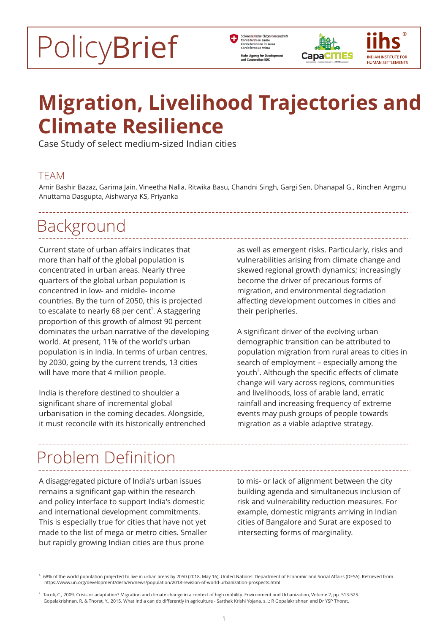# PolicyBrief





# **Migration, Livelihood Trajectories and Climate Resilience**

Case Study of select medium-sized Indian cities

### TEAM

Amir Bashir Bazaz, Garima Jain, Vineetha Nalla, Ritwika Basu, Chandni Singh, Gargi Sen, Dhanapal G., Rinchen Angmu Anuttama Dasgupta, Aishwarya KS, Priyanka

## Background

Current state of urban affairs indicates that more than half of the global population is concentrated in urban areas. Nearly three quarters of the global urban population is concentred in low- and middle- income countries. By the turn of 2050, this is projected to escalate to nearly 68 per cent<sup>1</sup>. A staggering proportion of this growth of almost 90 percent dominates the urban narrative of the developing world. At present, 11% of the world's urban population is in India. In terms of urban centres, by 2030, going by the current trends, 13 cities will have more that 4 million people.

India is therefore destined to shoulder a significant share of incremental global urbanisation in the coming decades. Alongside, it must reconcile with its historically entrenched as well as emergent risks. Particularly, risks and vulnerabilities arising from climate change and skewed regional growth dynamics; increasingly become the driver of precarious forms of migration, and environmental degradation affecting development outcomes in cities and their peripheries.

A significant driver of the evolving urban demographic transition can be attributed to population migration from rural areas to cities in search of employment – especially among the youth<sup>2</sup>. Although the specific effects of climate change will vary across regions, communities and livelihoods, loss of arable land, erratic rainfall and increasing frequency of extreme events may push groups of people towards migration as a viable adaptive strategy.

# Problem Definition

A disaggregated picture of India's urban issues remains a significant gap within the research and policy interface to support India's domestic and international development commitments. This is especially true for cities that have not yet made to the list of mega or metro cities. Smaller but rapidly growing Indian cities are thus prone

to mis- or lack of alignment between the city building agenda and simultaneous inclusion of risk and vulnerability reduction measures. For example, domestic migrants arriving in Indian cities of Bangalore and Surat are exposed to intersecting forms of marginality.

<sup>1.</sup> 68% of the world population projected to live in urban areas by 2050 (2018, May 16), United Nations: Department of Economic and Social Affairs (DESA). Retrieved from https://www.un.org/development/desa/en/news/population/2018-revision-of-world-urbanization-prospects.html

<sup>2.</sup> Tacoli, C., 2009. Crisis or adaptation? Migration and climate change in a context of high mobility. Environment and Urbanization, Volume 2, pp. 513-525. Gopalakrishnan, R. & Thorat, Y., 2015. What India can do differently in agriculture - Sarthak Krishi Yojana, s.l.: R Gopalakrishnan and Dr YSP Thorat.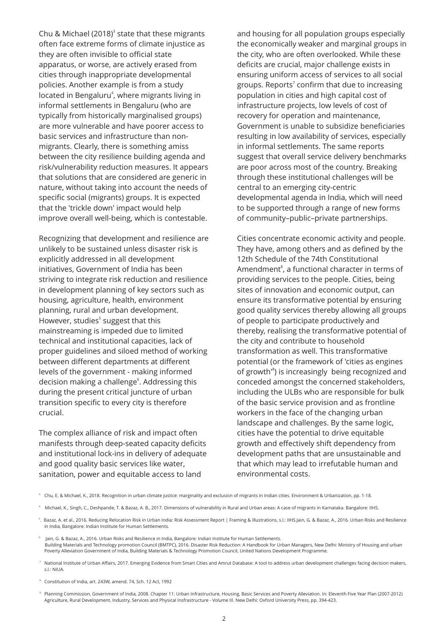Chu & Michael (2018)<sup>3</sup> state that these migrants often face extreme forms of climate injustice as they are often invisible to official state apparatus, or worse, are actively erased from cities through inappropriate developmental policies. Another example is from a study located in Bengaluru<sup>4</sup>, where migrants living in informal settlements in Bengaluru (who are typically from historically marginalised groups) are more vulnerable and have poorer access to basic services and infrastructure than nonmigrants. Clearly, there is something amiss between the city resilience building agenda and risk/vulnerability reduction measures. It appears that solutions that are considered are generic in nature, without taking into account the needs of specific social (migrants) groups. It is expected that the 'trickle down' impact would help improve overall well-being, which is contestable.

Recognizing that development and resilience are unlikely to be sustained unless disaster risk is explicitly addressed in all development initiatives, Government of India has been striving to integrate risk reduction and resilience in development planning of key sectors such as housing, agriculture, health, environment planning, rural and urban development. However, studies<sup>5</sup> suggest that this mainstreaming is impeded due to limited technical and institutional capacities, lack of proper guidelines and siloed method of working between different departments at different levels of the government - making informed decision making a challenge<sup>6</sup>. Addressing this during the present critical juncture of urban transition specific to every city is therefore crucial.

The complex alliance of risk and impact often manifests through deep-seated capacity deficits and institutional lock-ins in delivery of adequate and good quality basic services like water, sanitation, power and equitable access to land

and housing for all population groups especially the economically weaker and marginal groups in the city, who are often overlooked. While these deficits are crucial, major challenge exists in ensuring uniform access of services to all social groups. Reports<sup>7</sup> confirm that due to increasing population in cities and high capital cost of infrastructure projects, low levels of cost of recovery for operation and maintenance, Government is unable to subsidize beneficiaries resulting in low availability of services, especially in informal settlements. The same reports suggest that overall service delivery benchmarks are poor across most of the country. Breaking through these institutional challenges will be central to an emerging city-centric developmental agenda in India, which will need to be supported through a range of new forms of community–public–private partnerships.

Cities concentrate economic activity and people. They have, among others and as defined by the 12th Schedule of the 74th Constitutional Amendment<sup>8</sup>, a functional character in terms of providing services to the people. Cities, being sites of innovation and economic output, can ensure its transformative potential by ensuring good quality services thereby allowing all groups of people to participate productively and thereby, realising the transformative potential of the city and contribute to household transformation as well. This transformative potential (or the framework of 'cities as engines of growth<sup>®</sup>) is increasingly being recognized and conceded amongst the concerned stakeholders, including the ULBs who are responsible for bulk of the basic service provision and as frontline workers in the face of the changing urban landscape and challenges. By the same logic, cities have the potential to drive equitable growth and effectively shift dependency from development paths that are unsustainable and that which may lead to irrefutable human and environmental costs.

- <sup>3</sup> Chu, E. & Michael, K., 2018. Recognition in urban climate justice: marginality and exclusion of migrants in Indian cities. Environment & Urbanization, pp. 1-18.
- 4. Michael, K., Singh, C., Deshpande, T. & Bazaz, A. B., 2017. Dimensions of vulnerability in Rural and Urban areas: A case of migrants in Karnataka. Bangalore: IIHS.

 $^{\rm 5}$ . Bazaz, A. et al., 2016. Reducing Relocation Risk in Urban India: Risk Assessment Report | Framing & Illustrations, s.l.: IIHS.Jain, G. & Bazaz, A., 2016. Urban Risks and Resilience in India, Bangalore: Indian Institute for Human Settlements.

- 6. Jain, G. & Bazaz, A., 2016. Urban Risks and Resilience in India, Bangalore: Indian Institute for Human Settlements. Building Materials and Technology promotion Council (BMTPC), 2016. Disaster Risk Reduction: A Handbook for Urban Managers, New Delhi: Ministry of Housing and urban Poverty Alleviation Government of India, Building Materials & Technology Promotion Council, United Nations Development Programme.
- 7. National Institute of Urban Affairs, 2017. Emerging Evidence from Smart Cities and Amrut Database: A tool to address urban development challenges facing decision makers,  $s.1.5$  NIUA

8. Constitution of India, art. 243W, amend. 74, Sch. 12 Act, 1992

 9. Planning Commission, Government of India, 2008. Chapter 11: Urban Infrastructure, Housing, Basic Services and Poverty Alleviation. In: Eleventh Five Year Plan (2007-2012) Agriculture, Rural Development, Industry, Services and Physical Insfrastructure - Volume III. New Delhi: Oxford University Press, pp. 394-423.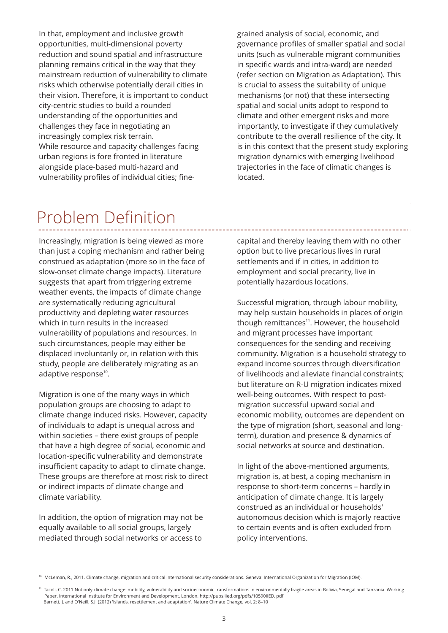While resource and capacity challenges facing urban regions is fore fronted in literature alongside place-based multi-hazard and vulnerability profiles of individual cities; fine-In that, employment and inclusive growth opportunities, multi-dimensional poverty reduction and sound spatial and infrastructure planning remains critical in the way that they mainstream reduction of vulnerability to climate risks which otherwise potentially derail cities in their vision. Therefore, it is important to conduct city-centric studies to build a rounded understanding of the opportunities and challenges they face in negotiating an increasingly complex risk terrain.

grained analysis of social, economic, and governance profiles of smaller spatial and social units (such as vulnerable migrant communities in specific wards and intra-ward) are needed (refer section on Migration as Adaptation). This is crucial to assess the suitability of unique mechanisms (or not) that these intersecting spatial and social units adopt to respond to climate and other emergent risks and more importantly, to investigate if they cumulatively contribute to the overall resilience of the city. It is in this context that the present study exploring migration dynamics with emerging livelihood trajectories in the face of climatic changes is located.

## Problem Definition

Increasingly, migration is being viewed as more than just a coping mechanism and rather being construed as adaptation (more so in the face of slow-onset climate change impacts). Literature suggests that apart from triggering extreme weather events, the impacts of climate change are systematically reducing agricultural productivity and depleting water resources which in turn results in the increased vulnerability of populations and resources. In such circumstances, people may either be displaced involuntarily or, in relation with this study, people are deliberately migrating as an adaptive response<sup>10</sup>.

Migration is one of the many ways in which population groups are choosing to adapt to climate change induced risks. However, capacity of individuals to adapt is unequal across and within societies – there exist groups of people that have a high degree of social, economic and location-specific vulnerability and demonstrate insufficient capacity to adapt to climate change. These groups are therefore at most risk to direct or indirect impacts of climate change and climate variability.

In addition, the option of migration may not be equally available to all social groups, largely mediated through social networks or access to

capital and thereby leaving them with no other option but to live precarious lives in rural settlements and if in cities, in addition to employment and social precarity, live in potentially hazardous locations.

Successful migration, through labour mobility, may help sustain households in places of origin though remittances<sup>11</sup>. However, the household and migrant processes have important consequences for the sending and receiving community. Migration is a household strategy to expand income sources through diversification of livelihoods and alleviate financial constraints; but literature on R-U migration indicates mixed well-being outcomes. With respect to postmigration successful upward social and economic mobility, outcomes are dependent on the type of migration (short, seasonal and longterm), duration and presence & dynamics of social networks at source and destination.

In light of the above-mentioned arguments, migration is, at best, a coping mechanism in response to short-term concerns – hardly in anticipation of climate change. It is largely construed as an individual or households' autonomous decision which is majorly reactive to certain events and is often excluded from policy interventions.

<sup>10.</sup> McLeman, R., 2011. Climate change, migration and critical international security considerations. Geneva: International Organization for Migration (IOM).

Tacoli, C. 2011 Not only climate change: mobility, vulnerability and socioeconomic transformations in environmentally fragile areas in Bolivia, Senegal and Tanzania. Working Paper. International Institute for Environment and Development, London. http://pubs.iied.org/pdfs/10590IIED. pdf Barnett, J. and O'Neill, S.J. (2012) 'Islands, resettlement and adaptation'. Nature Climate Change, vol. 2: 8–10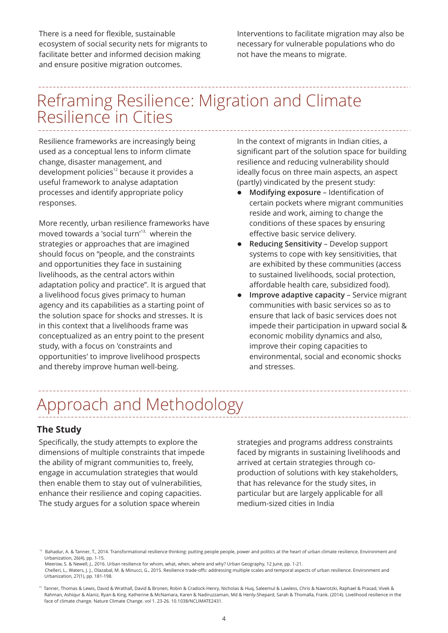There is a need for flexible, sustainable ecosystem of social security nets for migrants to facilitate better and informed decision making and ensure positive migration outcomes.

Interventions to facilitate migration may also be necessary for vulnerable populations who do not have the means to migrate.

### Reframing Resilience: Migration and Climate Resilience in Cities

Resilience frameworks are increasingly being used as a conceptual lens to inform climate change, disaster management, and development policies<sup>12</sup> because it provides a useful framework to analyse adaptation processes and identify appropriate policy responses.

More recently, urban resilience frameworks have moved towards a 'social turn'<sup>13,</sup> wherein the strategies or approaches that are imagined should focus on "people, and the constraints and opportunities they face in sustaining livelihoods, as the central actors within adaptation policy and practice". It is argued that a livelihood focus gives primacy to human agency and its capabilities as a starting point of the solution space for shocks and stresses. It is in this context that a livelihoods frame was conceptualized as an entry point to the present study, with a focus on 'constraints and opportunities' to improve livelihood prospects and thereby improve human well-being.

In the context of migrants in Indian cities, a significant part of the solution space for building resilience and reducing vulnerability should ideally focus on three main aspects, an aspect (partly) vindicated by the present study:

- l **Modifying exposure** Identification of certain pockets where migrant communities reside and work, aiming to change the conditions of these spaces by ensuring effective basic service delivery.
- **Reducing Sensitivity** Develop support systems to cope with key sensitivities, that are exhibited by these communities (access to sustained livelihoods, social protection, affordable health care, subsidized food).
- l **Improve adaptive capacity** Service migrant communities with basic services so as to ensure that lack of basic services does not impede their participation in upward social & economic mobility dynamics and also, improve their coping capacities to environmental, social and economic shocks and stresses.

--------------------

# Approach and Methodology

#### **The Study**

Specifically, the study attempts to explore the dimensions of multiple constraints that impede the ability of migrant communities to, freely, engage in accumulation strategies that would then enable them to stay out of vulnerabilities, enhance their resilience and coping capacities. The study argues for a solution space wherein

strategies and programs address constraints faced by migrants in sustaining livelihoods and arrived at certain strategies through coproduction of solutions with key stakeholders, that has relevance for the study sites, in particular but are largely applicable for all medium-sized cities in India

 $^{\text{2}}$  Bahadur, A. & Tanner, T., 2014. Transformational resilience thinking: putting people people, power and politics at the heart of urban climate resilience. Environment and Urbanization, 26(4), pp. 1-15.

Meerow, S. & Newell, J., 2016. Urban resilience for whom, what, when, where and why? Urban Geography, 12 June, pp. 1-21.

Chelleri, L., Waters, J. J., Olazabal, M. & Minucci, G., 2015. Resilience trade-offs: addressing multiple scales and temporal aspects of urban resilience. Environment and Urbanization, 27(1), pp. 181-198.

<sup>13.</sup> Tanner, Thomas & Lewis, David & Wrathall, David & Bronen, Robin & Cradock-Henry, Nicholas & Huq, Saleemul & Lawless, Chris & Nawrotzki, Raphael & Prasad, Vivek & Rahman, Ashiqur & Alaniz, Ryan & King, Katherine & McNamara, Karen & Nadiruzzaman, Md & Henly-Shepard, Sarah & Thomalla, Frank. (2014). Livelihood resilience in the face of climate change. Nature Climate Change. vol 1. 23-26. 10.1038/NCLIMATE2431.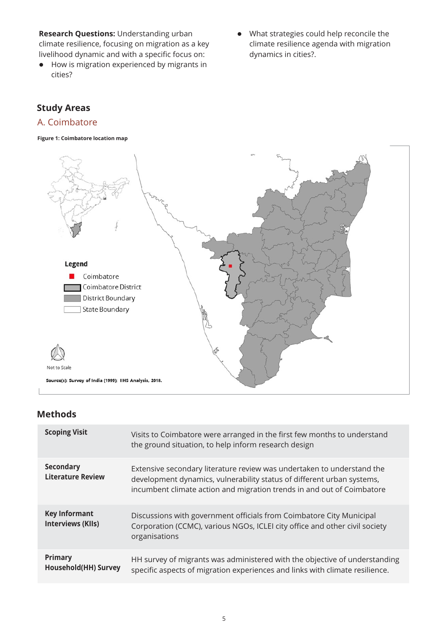**Research Questions:** Understanding urban climate resilience, focusing on migration as a key livelihood dynamic and with a specific focus on:

- $\bullet$  How is migration experienced by migrants in cities?
- What strategies could help reconcile the climate resilience agenda with migration dynamics in cities?.

### **Study Areas**

### A. Coimbatore



#### **Methods**

| <b>Scoping Visit</b>                             | Visits to Coimbatore were arranged in the first few months to understand<br>the ground situation, to help inform research design                                                                                           |
|--------------------------------------------------|----------------------------------------------------------------------------------------------------------------------------------------------------------------------------------------------------------------------------|
| <b>Secondary</b><br><b>Literature Review</b>     | Extensive secondary literature review was undertaken to understand the<br>development dynamics, vulnerability status of different urban systems,<br>incumbent climate action and migration trends in and out of Coimbatore |
| <b>Key Informant</b><br><b>Interviews (KIIs)</b> | Discussions with government officials from Coimbatore City Municipal<br>Corporation (CCMC), various NGOs, ICLEI city office and other civil society<br>organisations                                                       |
| <b>Primary</b><br><b>Household(HH) Survey</b>    | HH survey of migrants was administered with the objective of understanding<br>specific aspects of migration experiences and links with climate resilience.                                                                 |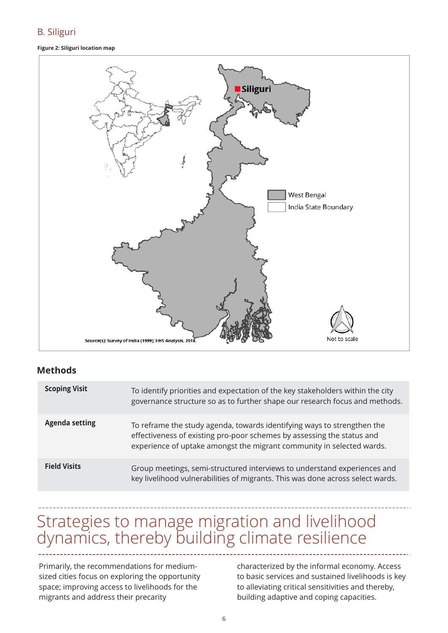#### B. Siliguri

#### **Figure 2: Siliguri location map**



#### **Methods**

| <b>Scoping Visit</b>  | To identify priorities and expectation of the key stakeholders within the city<br>governance structure so as to further shape our research focus and methods.                                                              |
|-----------------------|----------------------------------------------------------------------------------------------------------------------------------------------------------------------------------------------------------------------------|
| <b>Agenda setting</b> | To reframe the study agenda, towards identifying ways to strengthen the<br>effectiveness of existing pro-poor schemes by assessing the status and<br>experience of uptake amongst the migrant community in selected wards. |
| <b>Field Visits</b>   | Group meetings, semi-structured interviews to understand experiences and<br>key livelihood vulnerabilities of migrants. This was done across select wards.                                                                 |

### Strategies to manage migration and livelihood dynamics, thereby building climate resilience

Primarily, the recommendations for mediumsized cities focus on exploring the opportunity space; improving access to livelihoods for the migrants and address their precarity

characterized by the informal economy. Access to basic services and sustained livelihoods is key to alleviating critical sensitivities and thereby, building adaptive and coping capacities.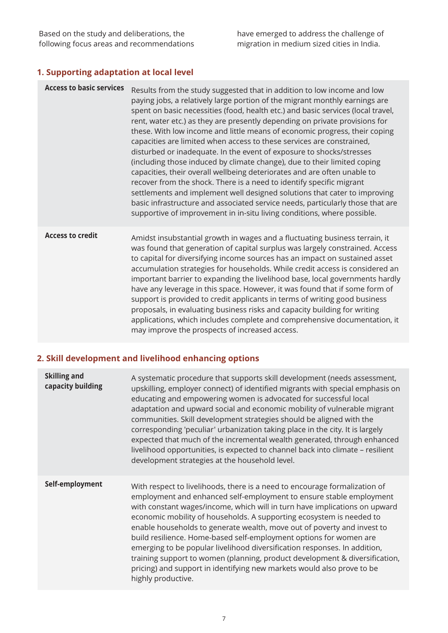### **1.Supporting adaptation at local level**

| <b>Access to basic services</b> | Results from the study suggested that in addition to low income and low<br>paying jobs, a relatively large portion of the migrant monthly earnings are<br>spent on basic necessities (food, health etc.) and basic services (local travel,<br>rent, water etc.) as they are presently depending on private provisions for<br>these. With low income and little means of economic progress, their coping<br>capacities are limited when access to these services are constrained,<br>disturbed or inadequate. In the event of exposure to shocks/stresses<br>(including those induced by climate change), due to their limited coping<br>capacities, their overall wellbeing deteriorates and are often unable to<br>recover from the shock. There is a need to identify specific migrant<br>settlements and implement well designed solutions that cater to improving<br>basic infrastructure and associated service needs, particularly those that are<br>supportive of improvement in in-situ living conditions, where possible. |
|---------------------------------|------------------------------------------------------------------------------------------------------------------------------------------------------------------------------------------------------------------------------------------------------------------------------------------------------------------------------------------------------------------------------------------------------------------------------------------------------------------------------------------------------------------------------------------------------------------------------------------------------------------------------------------------------------------------------------------------------------------------------------------------------------------------------------------------------------------------------------------------------------------------------------------------------------------------------------------------------------------------------------------------------------------------------------|
| <b>Access to credit</b>         | Amidst insubstantial growth in wages and a fluctuating business terrain, it<br>was found that generation of capital surplus was largely constrained. Access<br>to capital for diversifying income sources has an impact on sustained asset<br>accumulation strategies for households. While credit access is considered an<br>important barrier to expanding the livelihood base, local governments hardly<br>have any leverage in this space. However, it was found that if some form of<br>support is provided to credit applicants in terms of writing good business<br>proposals, in evaluating business risks and capacity building for writing<br>applications, which includes complete and comprehensive documentation, it<br>may improve the prospects of increased access.                                                                                                                                                                                                                                                |

#### **2.Skill development and livelihood enhancing options**

| <b>Skilling and</b><br>capacity building | A systematic procedure that supports skill development (needs assessment,<br>upskilling, employer connect) of identified migrants with special emphasis on<br>educating and empowering women is advocated for successful local<br>adaptation and upward social and economic mobility of vulnerable migrant<br>communities. Skill development strategies should be aligned with the<br>corresponding 'peculiar' urbanization taking place in the city. It is largely<br>expected that much of the incremental wealth generated, through enhanced<br>livelihood opportunities, is expected to channel back into climate - resilient<br>development strategies at the household level.                                  |
|------------------------------------------|----------------------------------------------------------------------------------------------------------------------------------------------------------------------------------------------------------------------------------------------------------------------------------------------------------------------------------------------------------------------------------------------------------------------------------------------------------------------------------------------------------------------------------------------------------------------------------------------------------------------------------------------------------------------------------------------------------------------|
| Self-employment                          | With respect to livelihoods, there is a need to encourage formalization of<br>employment and enhanced self-employment to ensure stable employment<br>with constant wages/income, which will in turn have implications on upward<br>economic mobility of households. A supporting ecosystem is needed to<br>enable households to generate wealth, move out of poverty and invest to<br>build resilience. Home-based self-employment options for women are<br>emerging to be popular livelihood diversification responses. In addition,<br>training support to women (planning, product development & diversification,<br>pricing) and support in identifying new markets would also prove to be<br>highly productive. |